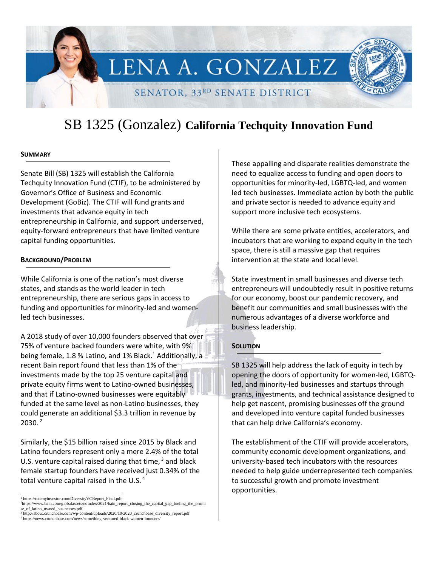

# SB 1325 (Gonzalez) **California Techquity Innovation Fund**

### **SUMMARY**

Senate Bill (SB) 1325 will establish the California Techquity Innovation Fund (CTIF), to be administered by Governor's Office of Business and Economic Development (GoBiz). The CTIF will fund grants and investments that advance equity in tech entrepreneurship in California, and support underserved, equity-forward entrepreneurs that have limited venture capital funding opportunities.

### **BACKGROUND/PROBLEM**

While California is one of the nation's most diverse states, and stands as the world leader in tech entrepreneurship, there are serious gaps in access to funding and opportunities for minority-led and womenled tech businesses.

A 2018 study of over 10,000 founders observed that over 75% of venture backed founders were white, with 9% being female, 1.8 % Latino, and 1% Black. <sup>1</sup> Additionally, a recent Bain report found that less than 1% of the investments made by the top 25 venture capital and private equity firms went to Latino-owned businesses, and that if Latino-owned businesses were equitably funded at the same level as non-Latino businesses, they could generate an additional \$3.3 trillion in revenue by 2030. <sup>2</sup>

Similarly, the \$15 billion raised since 2015 by Black and Latino founders represent only a mere 2.4% of the total U.S. venture capital raised during that time,  $3$  and black female startup founders have received just 0.34% of the total venture capital raised in the U.S. $4$ 

<sup>3</sup> http://about.crunchbase.com/wp-content/uploads/2020/10/2020\_crunchbase\_diversity\_report.pdf <sup>4</sup> https://news.crunchbase.com/news/something-ventured-black-women-founders/

These appalling and disparate realities demonstrate the need to equalize access to funding and open doors to opportunities for minority-led, LGBTQ-led, and women led tech businesses. Immediate action by both the public and private sector is needed to advance equity and support more inclusive tech ecosystems.

While there are some private entities, accelerators, and incubators that are working to expand equity in the tech space, there is still a massive gap that requires intervention at the state and local level.

State investment in small businesses and diverse tech entrepreneurs will undoubtedly result in positive returns for our economy, boost our pandemic recovery, and benefit our communities and small businesses with the numerous advantages of a diverse workforce and business leadership.

### **SOLUTION**

SB 1325 will help address the lack of equity in tech by opening the doors of opportunity for women-led, LGBTQled, and minority-led businesses and startups through grants, investments, and technical assistance designed to help get nascent, promising businesses off the ground and developed into venture capital funded businesses that can help drive California's economy.

The establishment of the CTIF will provide accelerators, community economic development organizations, and university-based tech incubators with the resources needed to help guide underrepresented tech companies to successful growth and promote investment opportunities.

<sup>&</sup>lt;sup>1</sup> https://ratemyinvestor.com/DiversityVCReport\_Final.pdf

<sup>2</sup>https://www.bain.com/globalassets/noindex/2021/bain\_report\_closing\_the\_capital\_gap\_fueling\_the\_promi se\_of\_latino\_owned\_businesses.pdf